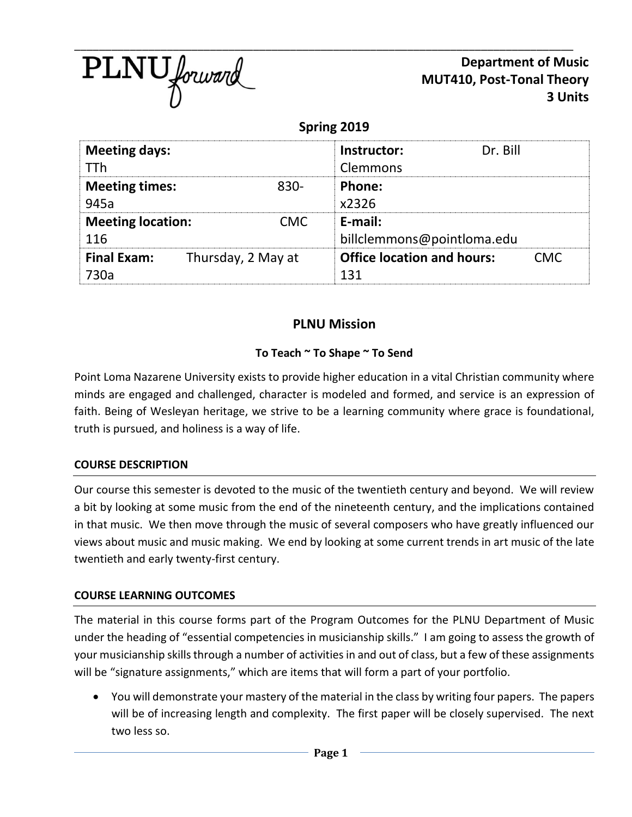

**Department of Music MUT410, Post-Tonal Theory 3 Units**

**Spring 2019**

| <b>Meeting days:</b>                     |      | Dr. Bill<br>Instructor:           |     |
|------------------------------------------|------|-----------------------------------|-----|
| TTh                                      |      | Clemmons                          |     |
| <b>Meeting times:</b>                    | 830- | Phone:                            |     |
| 945a                                     |      | x2326                             |     |
| <b>Meeting location:</b>                 | CMC  | E-mail:                           |     |
| 116                                      |      | billclemmons@pointloma.edu        |     |
| <b>Final Exam:</b><br>Thursday, 2 May at |      | <b>Office location and hours:</b> | CMC |
| 730a                                     |      | 131                               |     |

# **PLNU Mission**

### **To Teach ~ To Shape ~ To Send**

Point Loma Nazarene University exists to provide higher education in a vital Christian community where minds are engaged and challenged, character is modeled and formed, and service is an expression of faith. Being of Wesleyan heritage, we strive to be a learning community where grace is foundational, truth is pursued, and holiness is a way of life.

### **COURSE DESCRIPTION**

Our course this semester is devoted to the music of the twentieth century and beyond. We will review a bit by looking at some music from the end of the nineteenth century, and the implications contained in that music. We then move through the music of several composers who have greatly influenced our views about music and music making. We end by looking at some current trends in art music of the late twentieth and early twenty-first century.

### **COURSE LEARNING OUTCOMES**

The material in this course forms part of the Program Outcomes for the PLNU Department of Music under the heading of "essential competencies in musicianship skills." I am going to assess the growth of your musicianship skills through a number of activities in and out of class, but a few of these assignments will be "signature assignments," which are items that will form a part of your portfolio.

• You will demonstrate your mastery of the material in the class by writing four papers. The papers will be of increasing length and complexity. The first paper will be closely supervised. The next two less so.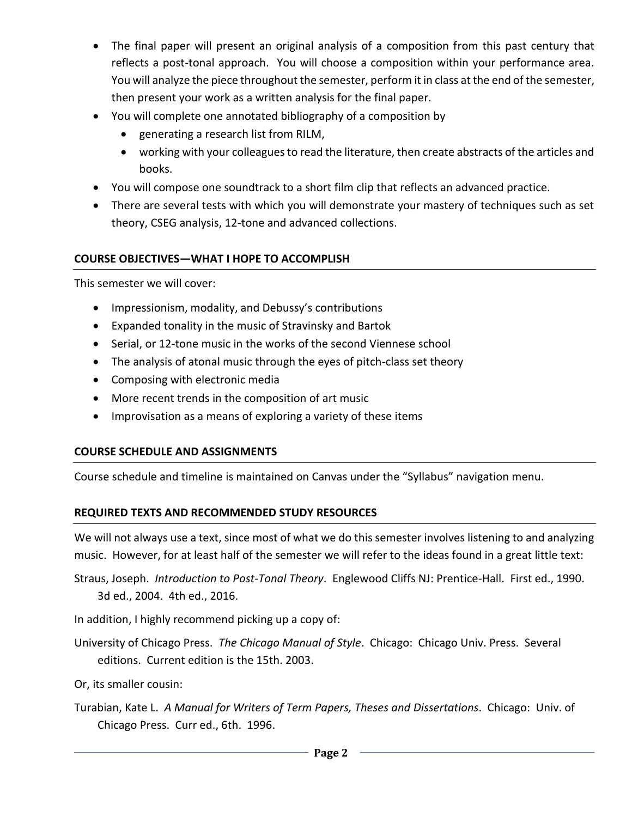- The final paper will present an original analysis of a composition from this past century that reflects a post-tonal approach. You will choose a composition within your performance area. You will analyze the piece throughout the semester, perform it in class at the end of the semester, then present your work as a written analysis for the final paper.
- You will complete one annotated bibliography of a composition by
	- generating a research list from RILM,
	- working with your colleagues to read the literature, then create abstracts of the articles and books.
- You will compose one soundtrack to a short film clip that reflects an advanced practice.
- There are several tests with which you will demonstrate your mastery of techniques such as set theory, CSEG analysis, 12-tone and advanced collections.

### **COURSE OBJECTIVES—WHAT I HOPE TO ACCOMPLISH**

This semester we will cover:

- Impressionism, modality, and Debussy's contributions
- Expanded tonality in the music of Stravinsky and Bartok
- Serial, or 12-tone music in the works of the second Viennese school
- The analysis of atonal music through the eyes of pitch-class set theory
- Composing with electronic media
- More recent trends in the composition of art music
- Improvisation as a means of exploring a variety of these items

### **COURSE SCHEDULE AND ASSIGNMENTS**

Course schedule and timeline is maintained on Canvas under the "Syllabus" navigation menu.

## **REQUIRED TEXTS AND RECOMMENDED STUDY RESOURCES**

We will not always use a text, since most of what we do this semester involves listening to and analyzing music. However, for at least half of the semester we will refer to the ideas found in a great little text:

Straus, Joseph. *Introduction to Post-Tonal Theory*. Englewood Cliffs NJ: Prentice-Hall. First ed., 1990. 3d ed., 2004. 4th ed., 2016.

In addition, I highly recommend picking up a copy of:

- University of Chicago Press. *The Chicago Manual of Style*. Chicago: Chicago Univ. Press. Several editions. Current edition is the 15th. 2003.
- Or, its smaller cousin:
- Turabian, Kate L. *A Manual for Writers of Term Papers, Theses and Dissertations*. Chicago: Univ. of Chicago Press. Curr ed., 6th. 1996.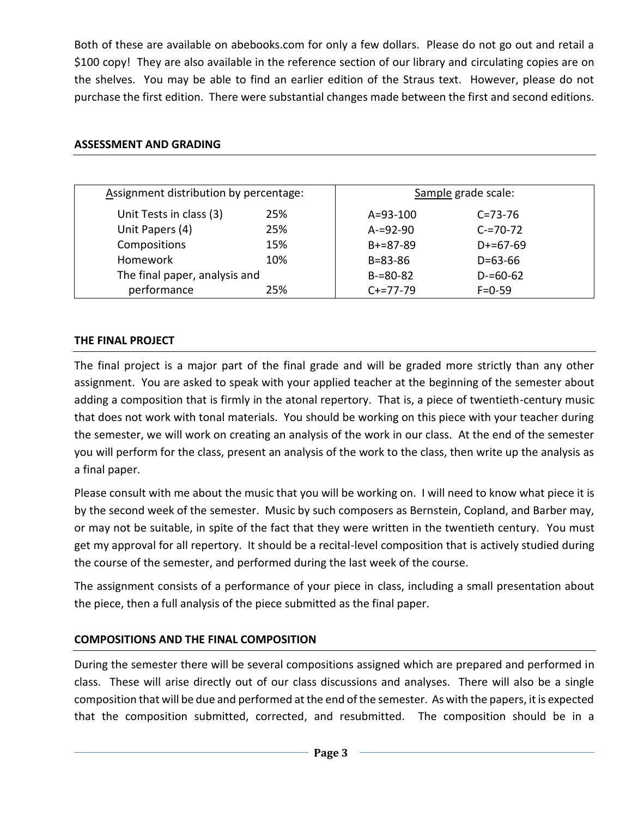Both of these are available on abebooks.com for only a few dollars. Please do not go out and retail a \$100 copy! They are also available in the reference section of our library and circulating copies are on the shelves. You may be able to find an earlier edition of the Straus text. However, please do not purchase the first edition. There were substantial changes made between the first and second editions.

| Assignment distribution by percentage: |                               | Sample grade scale: |  |  |
|----------------------------------------|-------------------------------|---------------------|--|--|
| 25%                                    | $A = 93 - 100$                | $C = 73 - 76$       |  |  |
| 25%                                    | $A = 92 - 90$                 | $C = 70 - 72$       |  |  |
| 15%                                    | $B+=87-89$                    | $D+=67-69$          |  |  |
| 10%                                    | $B = 83 - 86$                 | $D = 63 - 66$       |  |  |
|                                        | $B = 80 - 82$                 | $D = 60 - 62$       |  |  |
| 25%                                    | $C+=77-79$                    | $F = 0 - 59$        |  |  |
|                                        | The final paper, analysis and |                     |  |  |

#### **ASSESSMENT AND GRADING**

#### **THE FINAL PROJECT**

The final project is a major part of the final grade and will be graded more strictly than any other assignment. You are asked to speak with your applied teacher at the beginning of the semester about adding a composition that is firmly in the atonal repertory. That is, a piece of twentieth-century music that does not work with tonal materials. You should be working on this piece with your teacher during the semester, we will work on creating an analysis of the work in our class. At the end of the semester you will perform for the class, present an analysis of the work to the class, then write up the analysis as a final paper.

Please consult with me about the music that you will be working on. I will need to know what piece it is by the second week of the semester. Music by such composers as Bernstein, Copland, and Barber may, or may not be suitable, in spite of the fact that they were written in the twentieth century. You must get my approval for all repertory. It should be a recital-level composition that is actively studied during the course of the semester, and performed during the last week of the course.

The assignment consists of a performance of your piece in class, including a small presentation about the piece, then a full analysis of the piece submitted as the final paper.

#### **COMPOSITIONS AND THE FINAL COMPOSITION**

During the semester there will be several compositions assigned which are prepared and performed in class. These will arise directly out of our class discussions and analyses. There will also be a single composition that will be due and performed at the end of the semester. As with the papers, it is expected that the composition submitted, corrected, and resubmitted. The composition should be in a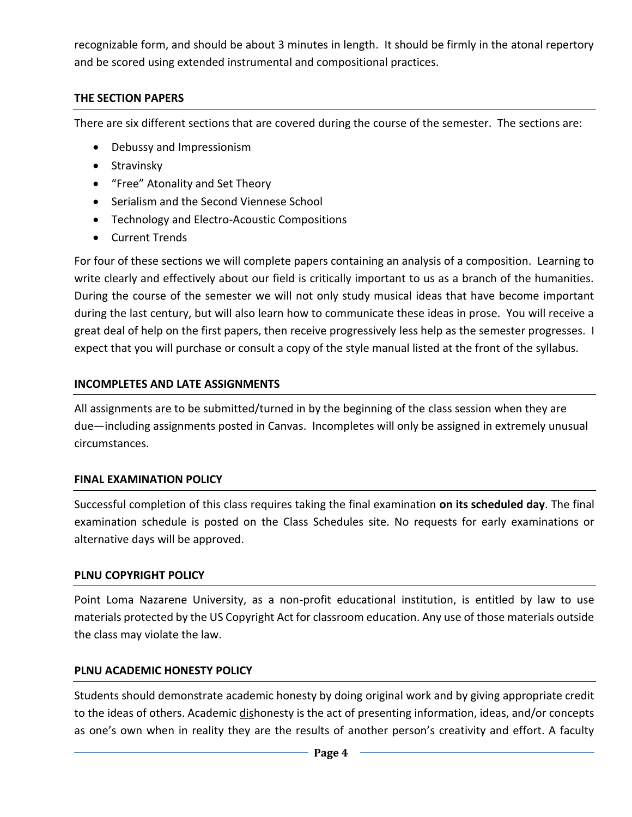recognizable form, and should be about 3 minutes in length. It should be firmly in the atonal repertory and be scored using extended instrumental and compositional practices.

### **THE SECTION PAPERS**

There are six different sections that are covered during the course of the semester. The sections are:

- Debussy and Impressionism
- Stravinsky
- "Free" Atonality and Set Theory
- Serialism and the Second Viennese School
- Technology and Electro-Acoustic Compositions
- Current Trends

For four of these sections we will complete papers containing an analysis of a composition. Learning to write clearly and effectively about our field is critically important to us as a branch of the humanities. During the course of the semester we will not only study musical ideas that have become important during the last century, but will also learn how to communicate these ideas in prose. You will receive a great deal of help on the first papers, then receive progressively less help as the semester progresses. I expect that you will purchase or consult a copy of the style manual listed at the front of the syllabus.

## **INCOMPLETES AND LATE ASSIGNMENTS**

All assignments are to be submitted/turned in by the beginning of the class session when they are due—including assignments posted in Canvas. Incompletes will only be assigned in extremely unusual circumstances.

## **FINAL EXAMINATION POLICY**

Successful completion of this class requires taking the final examination **on its scheduled day**. The final examination schedule is posted on the Class Schedules site. No requests for early examinations or alternative days will be approved.

## **PLNU COPYRIGHT POLICY**

Point Loma Nazarene University, as a non-profit educational institution, is entitled by law to use materials protected by the US Copyright Act for classroom education. Any use of those materials outside the class may violate the law.

### **PLNU ACADEMIC HONESTY POLICY**

Students should demonstrate academic honesty by doing original work and by giving appropriate credit to the ideas of others. Academic *dishonesty* is the act of presenting information, ideas, and/or concepts as one's own when in reality they are the results of another person's creativity and effort. A faculty